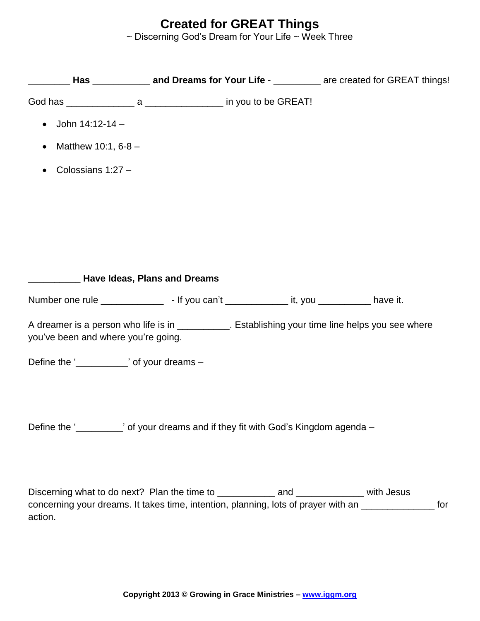## **Created for GREAT Things**

~ Discerning God's Dream for Your Life ~ Week Three

| John 14:12-14 -<br>$\bullet$                                                                                                              |  |  |  |     |
|-------------------------------------------------------------------------------------------------------------------------------------------|--|--|--|-----|
| Matthew 10:1, 6-8 -<br>$\bullet$                                                                                                          |  |  |  |     |
| Colossians 1:27 -<br>$\bullet$                                                                                                            |  |  |  |     |
|                                                                                                                                           |  |  |  |     |
|                                                                                                                                           |  |  |  |     |
|                                                                                                                                           |  |  |  |     |
|                                                                                                                                           |  |  |  |     |
| <b>EXAMPLE HAVE Ideas, Plans and Dreams</b>                                                                                               |  |  |  |     |
|                                                                                                                                           |  |  |  |     |
| A dreamer is a person who life is in ____________. Establishing your time line helps you see where<br>you've been and where you're going. |  |  |  |     |
| Define the '______________' of your dreams -                                                                                              |  |  |  |     |
|                                                                                                                                           |  |  |  |     |
|                                                                                                                                           |  |  |  |     |
| Define the '__________' of your dreams and if they fit with God's Kingdom agenda -                                                        |  |  |  |     |
|                                                                                                                                           |  |  |  |     |
|                                                                                                                                           |  |  |  |     |
| concerning your dreams. It takes time, intention, planning, lots of prayer with an ________________                                       |  |  |  | for |
| action.                                                                                                                                   |  |  |  |     |